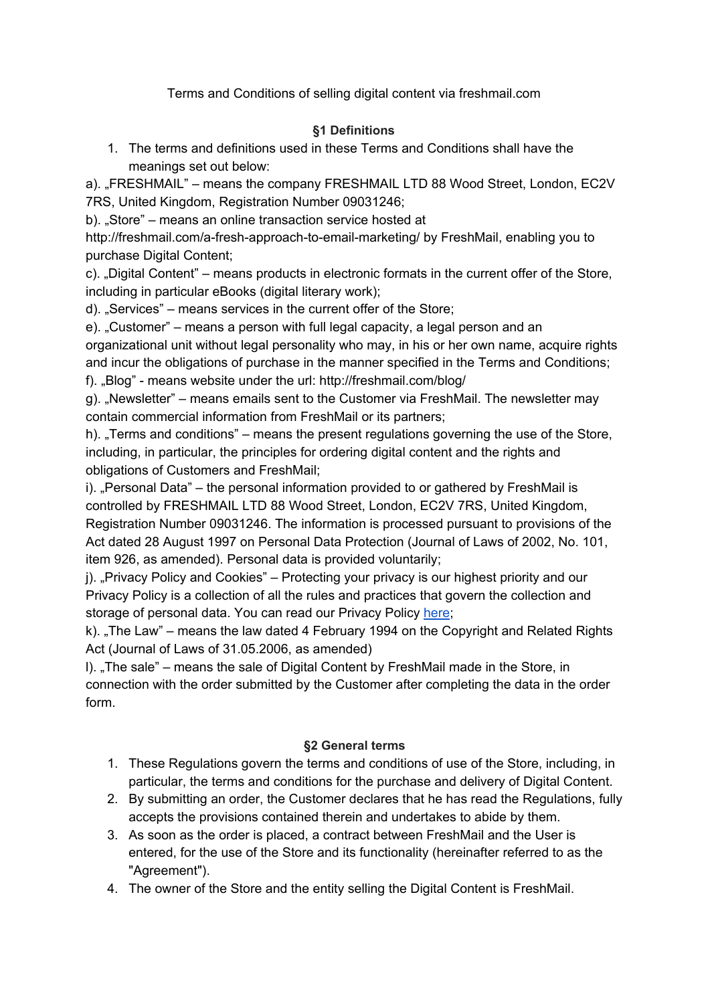Terms and Conditions of selling digital content via freshmail.com

## **§1 Definitions**

1. The terms and definitions used in these Terms and Conditions shall have the meanings set out below:

a). "FRESHMAIL" – means the company FRESHMAIL LTD 88 Wood Street, London, EC2V 7RS, United Kingdom, Registration Number 09031246;

b). "Store" – means an online transaction service hosted at

http://freshmail.com/a-fresh-approach-to-email-marketing/ by FreshMail, enabling you to purchase Digital Content;

c). "Digital Content" – means products in electronic formats in the current offer of the Store, including in particular eBooks (digital literary work);

d). "Services" – means services in the current offer of the Store;

e). "Customer" – means a person with full legal capacity, a legal person and an organizational unit without legal personality who may, in his or her own name, acquire rights and incur the obligations of purchase in the manner specified in the Terms and Conditions; f). "Blog" - means website under the url: http://freshmail.com/blog/

g). "Newsletter" – means emails sent to the Customer via FreshMail. The newsletter may

contain commercial information from FreshMail or its partners;

h). "Terms and conditions" – means the present regulations governing the use of the Store, including, in particular, the principles for ordering digital content and the rights and obligations of Customers and FreshMail;

i). "Personal Data" – the personal information provided to or gathered by FreshMail is controlled by FRESHMAIL LTD 88 Wood Street, London, EC2V 7RS, United Kingdom, Registration Number 09031246. The information is processed pursuant to provisions of the Act dated 28 August 1997 on Personal Data Protection (Journal of Laws of 2002, No. 101, item 926, as amended). Personal data is provided voluntarily;

j). "Privacy Policy and Cookies" – Protecting your privacy is our highest priority and our Privacy Policy is a collection of all the rules and practices that govern the collection and storage of personal data. You can read our Privacy Policy [here;](http://freshmail.com/privacy-policy-2/)

k). "The Law" – means the law dated 4 February 1994 on the Copyright and Related Rights Act (Journal of Laws of 31.05.2006, as amended)

I). "The sale" – means the sale of Digital Content by FreshMail made in the Store, in connection with the order submitted by the Customer after completing the data in the order form.

# **§2 General terms**

- 1. These Regulations govern the terms and conditions of use of the Store, including, in particular, the terms and conditions for the purchase and delivery of Digital Content.
- 2. By submitting an order, the Customer declares that he has read the Regulations, fully accepts the provisions contained therein and undertakes to abide by them.
- 3. As soon as the order is placed, a contract between FreshMail and the User is entered, for the use of the Store and its functionality (hereinafter referred to as the "Agreement").
- 4. The owner of the Store and the entity selling the Digital Content is FreshMail.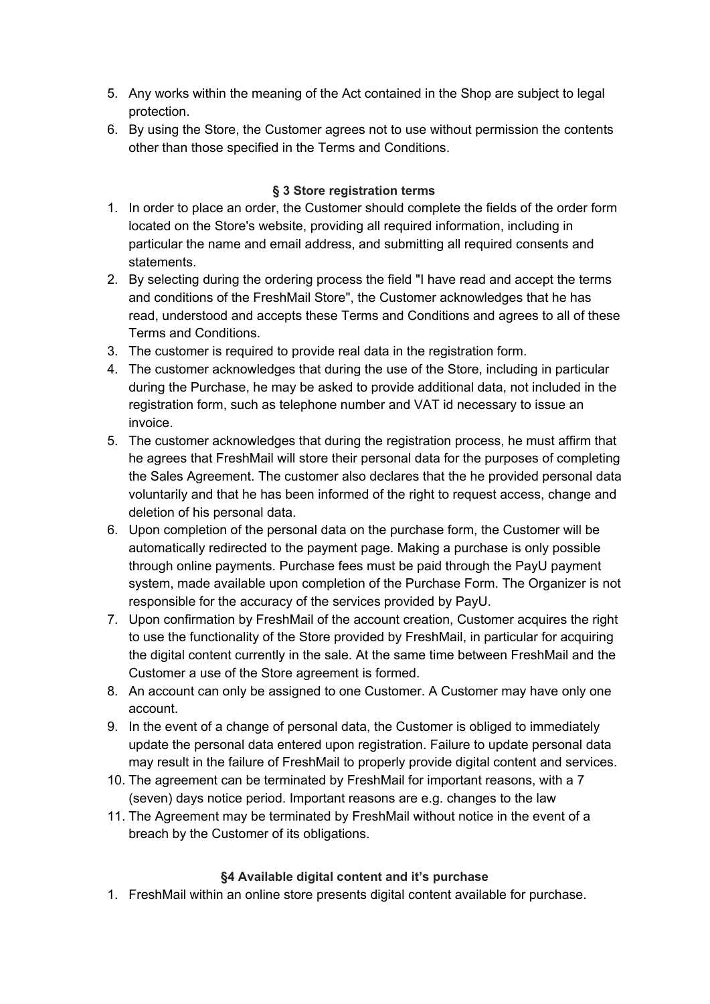- 5. Any works within the meaning of the Act contained in the Shop are subject to legal protection.
- 6. By using the Store, the Customer agrees not to use without permission the contents other than those specified in the Terms and Conditions.

### **§ 3 Store registration terms**

- 1. In order to place an order, the Customer should complete the fields of the order form located on the Store's website, providing all required information, including in particular the name and email address, and submitting all required consents and statements.
- 2. By selecting during the ordering process the field "I have read and accept the terms and conditions of the FreshMail Store", the Customer acknowledges that he has read, understood and accepts these Terms and Conditions and agrees to all of these Terms and Conditions.
- 3. The customer is required to provide real data in the registration form.
- 4. The customer acknowledges that during the use of the Store, including in particular during the Purchase, he may be asked to provide additional data, not included in the registration form, such as telephone number and VAT id necessary to issue an invoice.
- 5. The customer acknowledges that during the registration process, he must affirm that he agrees that FreshMail will store their personal data for the purposes of completing the Sales Agreement. The customer also declares that the he provided personal data voluntarily and that he has been informed of the right to request access, change and deletion of his personal data.
- 6. Upon completion of the personal data on the purchase form, the Customer will be automatically redirected to the payment page. Making a purchase is only possible through online payments. Purchase fees must be paid through the PayU payment system, made available upon completion of the Purchase Form. The Organizer is not responsible for the accuracy of the services provided by PayU.
- 7. Upon confirmation by FreshMail of the account creation, Customer acquires the right to use the functionality of the Store provided by FreshMail, in particular for acquiring the digital content currently in the sale. At the same time between FreshMail and the Customer a use of the Store agreement is formed.
- 8. An account can only be assigned to one Customer. A Customer may have only one account.
- 9. In the event of a change of personal data, the Customer is obliged to immediately update the personal data entered upon registration. Failure to update personal data may result in the failure of FreshMail to properly provide digital content and services.
- 10. The agreement can be terminated by FreshMail for important reasons, with a 7 (seven) days notice period. Important reasons are e.g. changes to the law
- 11. The Agreement may be terminated by FreshMail without notice in the event of a breach by the Customer of its obligations.

### **§4 Available digital content and it's purchase**

1. FreshMail within an online store presents digital content available for purchase.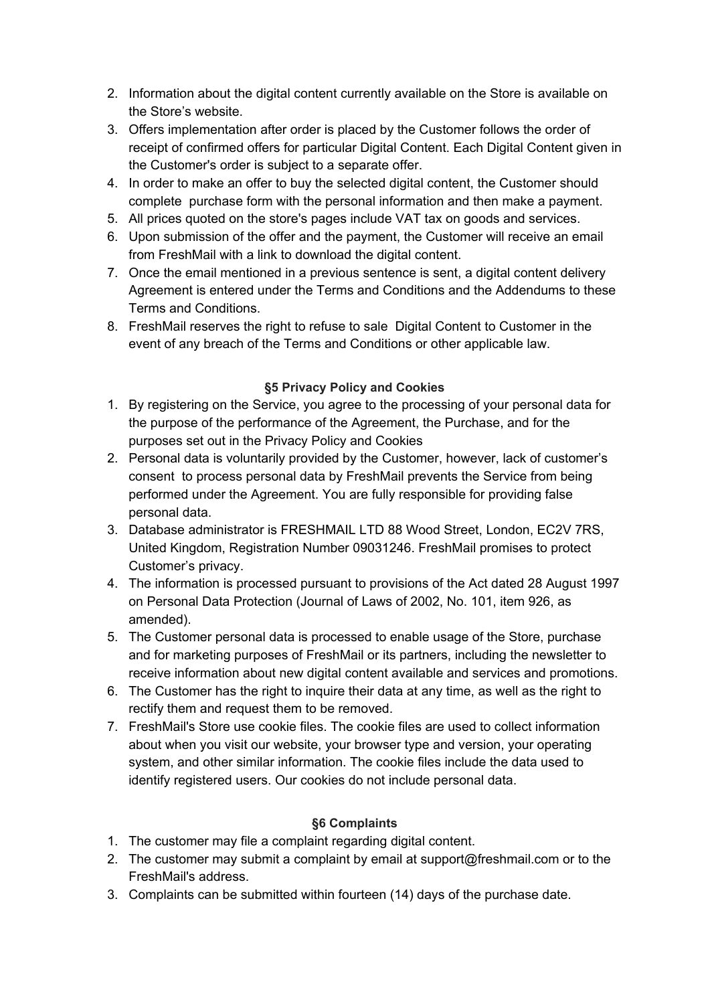- 2. Information about the digital content currently available on the Store is available on the Store's website.
- 3. Offers implementation after order is placed by the Customer follows the order of receipt of confirmed offers for particular Digital Content. Each Digital Content given in the Customer's order is subject to a separate offer.
- 4. In order to make an offer to buy the selected digital content, the Customer should complete purchase form with the personal information and then make a payment.
- 5. All prices quoted on the store's pages include VAT tax on goods and services.
- 6. Upon submission of the offer and the payment, the Customer will receive an email from FreshMail with a link to download the digital content.
- 7. Once the email mentioned in a previous sentence is sent, a digital content delivery Agreement is entered under the Terms and Conditions and the Addendums to these Terms and Conditions.
- 8. FreshMail reserves the right to refuse to sale Digital Content to Customer in the event of any breach of the Terms and Conditions or other applicable law.

### **§5 Privacy Policy and Cookies**

- 1. By registering on the Service, you agree to the processing of your personal data for the purpose of the performance of the Agreement, the Purchase, and for the purposes set out in the Privacy Policy and Cookies
- 2. Personal data is voluntarily provided by the Customer, however, lack of customer's consent to process personal data by FreshMail prevents the Service from being performed under the Agreement. You are fully responsible for providing false personal data.
- 3. Database administrator is FRESHMAIL LTD 88 Wood Street, London, EC2V 7RS, United Kingdom, Registration Number 09031246. FreshMail promises to protect Customer's privacy.
- 4. The information is processed pursuant to provisions of the Act dated 28 August 1997 on Personal Data Protection (Journal of Laws of 2002, No. 101, item 926, as amended).
- 5. The Customer personal data is processed to enable usage of the Store, purchase and for marketing purposes of FreshMail or its partners, including the newsletter to receive information about new digital content available and services and promotions.
- 6. The Customer has the right to inquire their data at any time, as well as the right to rectify them and request them to be removed.
- 7. FreshMail's Store use cookie files. The cookie files are used to collect information about when you visit our website, your browser type and version, your operating system, and other similar information. The cookie files include the data used to identify registered users. Our cookies do not include personal data.

### **§6 Complaints**

- 1. The customer may file a complaint regarding digital content.
- 2. The customer may submit a complaint by email at support@freshmail.com or to the FreshMail's address.
- 3. Complaints can be submitted within fourteen (14) days of the purchase date.